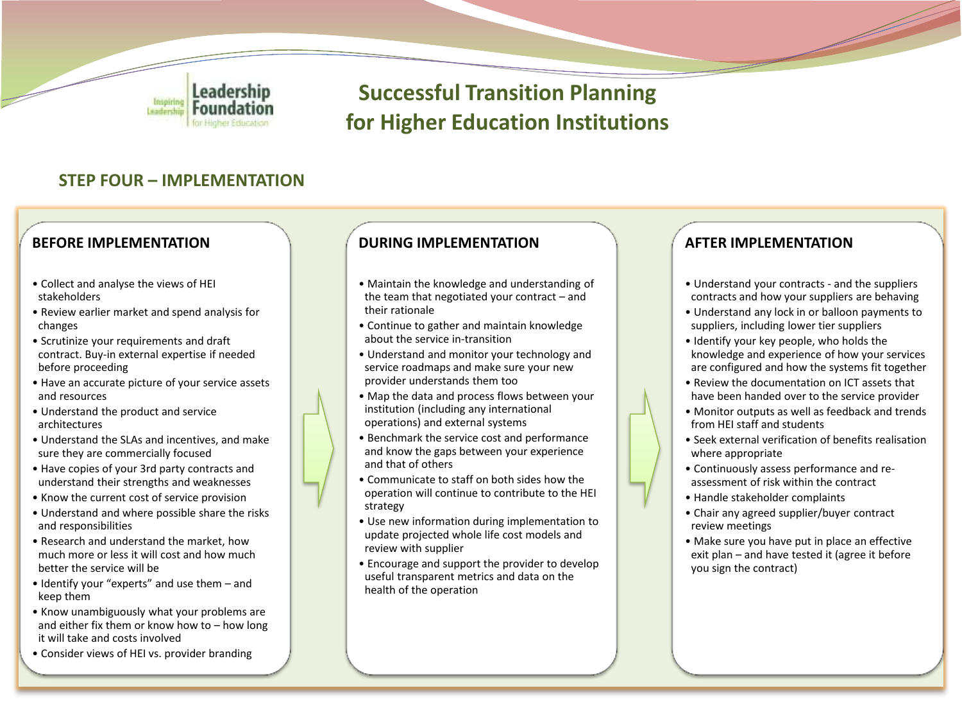

# **Successful Transition Planning for Higher Education Institutions**

## **STEP FOUR – IMPLEMENTATION**

### **BEFORE IMPLEMENTATION**

- Collect and analyse the views of HEI stakeholders
- Review earlier market and spend analysis for changes
- Scrutinize your requirements and draft contract. Buy-in external expertise if needed before proceeding
- Have an accurate picture of your service assets and resources
- Understand the product and service architectures
- Understand the SLAs and incentives, and make sure they are commercially focused
- Have copies of your 3rd party contracts and understand their strengths and weaknesses
- Know the current cost of service provision
- Understand and where possible share the risks and responsibilities
- Research and understand the market, how much more or less it will cost and how much better the service will be
- Identify your "experts" and use them and keep them
- Know unambiguously what your problems are and either fix them or know how to – how long it will take and costs involved
- Consider views of HEI vs. provider branding

#### **DURING IMPLEMENTATION**

- Maintain the knowledge and understanding of the team that negotiated your contract – and their rationale
- Continue to gather and maintain knowledge about the service in-transition
- Understand and monitor your technology and service roadmaps and make sure your new provider understands them too
- Map the data and process flows between your institution (including any international operations) and external systems
- Benchmark the service cost and performance and know the gaps between your experience and that of others
- Communicate to staff on both sides how the operation will continue to contribute to the HEI strategy
- Use new information during implementation to update projected whole life cost models and review with supplier
- Encourage and support the provider to develop useful transparent metrics and data on the health of the operation

#### **AFTER IMPLEMENTATION**

- Understand your contracts and the suppliers contracts and how your suppliers are behaving
- Understand any lock in or balloon payments to suppliers, including lower tier suppliers
- Identify your key people, who holds the knowledge and experience of how your services are configured and how the systems fit together
- Review the documentation on ICT assets that have been handed over to the service provider
- Monitor outputs as well as feedback and trends from HEI staff and students
- Seek external verification of benefits realisation where appropriate
- Continuously assess performance and reassessment of risk within the contract
- Handle stakeholder complaints
- Chair any agreed supplier/buyer contract review meetings
- Make sure you have put in place an effective exit plan – and have tested it (agree it before you sign the contract)